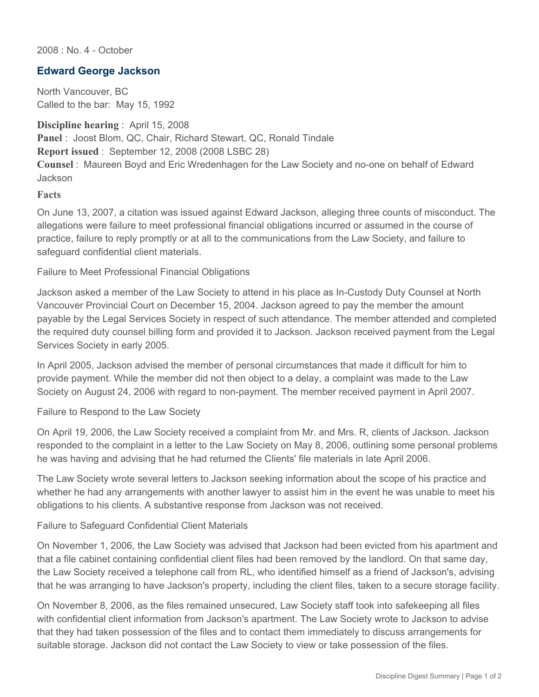2008 : No. 4 - October

## **Edward George Jackson**

North Vancouver, BC Called to the bar: May 15, 1992

**Discipline hearing** : April 15, 2008 **Panel** : Joost Blom, QC, Chair, Richard Stewart, QC, Ronald Tindale **Report issued** : September 12, 2008 (2008 LSBC 28) **Counsel** : Maureen Boyd and Eric Wredenhagen for the Law Society and no-one on behalf of Edward **Jackson** 

**Facts**

On June 13, 2007, a citation was issued against Edward Jackson, alleging three counts of misconduct. The allegations were failure to meet professional financial obligations incurred or assumed in the course of practice, failure to reply promptly or at all to the communications from the Law Society, and failure to safeguard confidential client materials.

Failure to Meet Professional Financial Obligations

Jackson asked a member of the Law Society to attend in his place as In-Custody Duty Counsel at North Vancouver Provincial Court on December 15, 2004. Jackson agreed to pay the member the amount payable by the Legal Services Society in respect of such attendance. The member attended and completed the required duty counsel billing form and provided it to Jackson. Jackson received payment from the Legal Services Society in early 2005.

In April 2005, Jackson advised the member of personal circumstances that made it difficult for him to provide payment. While the member did not then object to a delay, a complaint was made to the Law Society on August 24, 2006 with regard to non-payment. The member received payment in April 2007.

Failure to Respond to the Law Society

On April 19, 2006, the Law Society received a complaint from Mr. and Mrs. R, clients of Jackson. Jackson responded to the complaint in a letter to the Law Society on May 8, 2006, outlining some personal problems he was having and advising that he had returned the Clients' file materials in late April 2006.

The Law Society wrote several letters to Jackson seeking information about the scope of his practice and whether he had any arrangements with another lawyer to assist him in the event he was unable to meet his obligations to his clients. A substantive response from Jackson was not received.

Failure to Safeguard Confidential Client Materials

On November 1, 2006, the Law Society was advised that Jackson had been evicted from his apartment and that a file cabinet containing confidential client files had been removed by the landlord. On that same day, the Law Society received a telephone call from RL, who identified himself as a friend of Jackson's, advising that he was arranging to have Jackson's property, including the client files, taken to a secure storage facility.

On November 8, 2006, as the files remained unsecured, Law Society staff took into safekeeping all files with confidential client information from Jackson's apartment. The Law Society wrote to Jackson to advise that they had taken possession of the files and to contact them immediately to discuss arrangements for suitable storage. Jackson did not contact the Law Society to view or take possession of the files.